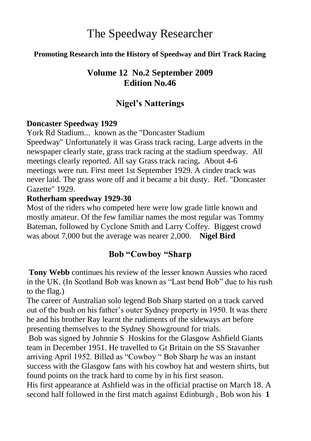# The Speedway Researcher

#### **Promoting Research into the History of Speedway and Dirt Track Racing**

# **Volume 12 No.2 September 2009 Edition No.46**

# **Nigel's Natterings**

#### **Doncaster Speedway 1929**

York Rd Stadium... known as the "Doncaster Stadium Speedway" Unfortunately it was Grass track racing. Large adverts in the newspaper clearly state, grass track racing at the stadium speedway. All meetings clearly reported. All say Grass track racing**.** About 4-6 meetings were run. First meet 1st September 1929. A cinder track was never laid. The grass wore off and it became a bit dusty. Ref. "Doncaster Gazette" 1929.

#### **Rotherham speedway 1929-30**

Most of the riders who competed here were low grade little known and mostly amateur. Of the few familiar names the most regular was Tommy Bateman, followed by Cyclone Smith and Larry Coffey. Biggest crowd was about 7,000 but the average was nearer 2,000. **Nigel Bird**

# **Bob "Cowboy "Sharp**

**Tony Webb** continues his review of the lesser known Aussies who raced in the UK. (In Scotland Bob was known as "Last bend Bob" due to his rush to the flag.)

The career of Australian solo legend Bob Sharp started on a track carved out of the bush on his father's outer Sydney property in 1950. It was there he and his brother Ray learnt the rudiments of the sideways art before presenting themselves to the Sydney Showground for trials.

Bob was signed by Johnnie S Hoskins for the Glasgow Ashfield Giants team in December 1951. He travelled to Gt Britain on the SS Stavanher arriving April 1952. Billed as "Cowboy " Bob Sharp he was an instant success with the Glasgow fans with his cowboy hat and western shirts, but found points on the track hard to come by in his first season.

His first appearance at Ashfield was in the official practise on March 18. A second half followed in the first match against Edinburgh , Bob won his **1**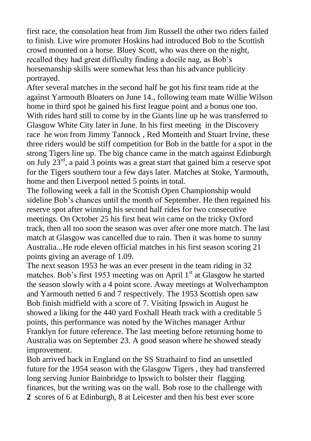first race, the consolation heat from Jim Russell the other two riders failed to finish. Live wire promoter Hoskins had introduced Bob to the Scottish crowd mounted on a horse. Bluey Scott, who was there on the night, recalled they had great difficulty finding a docile nag, as Bob's horsemanship skills were somewhat less than his advance publicity portrayed.

After several matches in the second half he got his first team ride at the against Yarmouth Bloaters on June 14., following team mate Willie Wilson home in third spot he gained his first league point and a bonus one too. With rides hard still to come by in the Giants line up he was transferred to Glasgow White City later in June. In his first meeting in the Discovery race he won from Jimmy Tannock , Red Monteith and Stuart Irvine, these three riders would be stiff competition for Bob in the battle for a spot in the strong Tigers line up. The big chance came in the match against Edinburgh on July  $23^{rd}$ , a paid 3 points was a great start that gained him a reserve spot for the Tigers southern tour a few days later. Matches at Stoke, Yarmouth, home and then Liverpool netted 5 points in total.

The following week a fall in the Scottish Open Championship would sideline Bob's chances until the month of September. He then regained his reserve spot after winning his second half rides for two consecutive meetings. On October 25 his first heat win came on the tricky Oxford track, then all too soon the season was over after one more match. The last match at Glasgow was cancelled due to rain. Then it was home to sunny Australia...He rode eleven official matches in his first season scoring 21 points giving an average of 1.09.

The next season 1953 he was an ever present in the team riding in 32 matches. Bob's first 1953 meeting was on April  $1<sup>st</sup>$  at Glasgow he started the season slowly with a 4 point score. Away meetings at Wolverhampton and Yarmouth netted 6 and 7 respectively. The 1953 Scottish open saw Bob finish midfield with a score of 7. Visiting Ipswich in August he showed a liking for the 440 yard Foxhall Heath track with a creditable 5 points, this performance was noted by the Witches manager Arthur Franklyn for future reference. The last meeting before returning home to Australia was on September 23. A good season where he showed steady improvement.

Bob arrived back in England on the SS Strathaird to find an unsettled future for the 1954 season with the Glasgow Tigers , they had transferred long serving Junior Bainbridge to Ipswich to bolster their flagging finances, but the writing was on the wall. Bob rose to the challenge with **2** scores of 6 at Edinburgh, 8 at Leicester and then his best ever score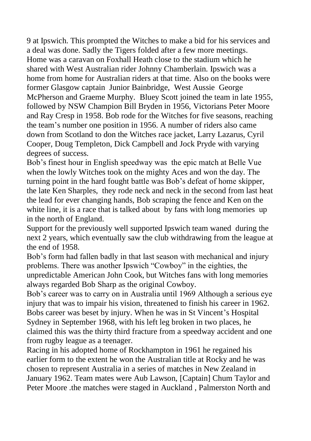9 at Ipswich. This prompted the Witches to make a bid for his services and a deal was done. Sadly the Tigers folded after a few more meetings. Home was a caravan on Foxhall Heath close to the stadium which he shared with West Australian rider Johnny Chamberlain. Ipswich was a home from home for Australian riders at that time. Also on the books were former Glasgow captain Junior Bainbridge, West Aussie George McPherson and Graeme Murphy. Bluey Scott joined the team in late 1955, followed by NSW Champion Bill Bryden in 1956, Victorians Peter Moore and Ray Cresp in 1958. Bob rode for the Witches for five seasons, reaching the team's number one position in 1956. A number of riders also came down from Scotland to don the Witches race jacket, Larry Lazarus, Cyril Cooper, Doug Templeton, Dick Campbell and Jock Pryde with varying degrees of success.

Bob's finest hour in English speedway was the epic match at Belle Vue when the lowly Witches took on the mighty Aces and won the day. The turning point in the hard fought battle was Bob's defeat of home skipper, the late Ken Sharples, they rode neck and neck in the second from last heat the lead for ever changing hands, Bob scraping the fence and Ken on the white line, it is a race that is talked about by fans with long memories up in the north of England.

Support for the previously well supported Ipswich team waned during the next 2 years, which eventually saw the club withdrawing from the league at the end of 1958.

Bob's form had fallen badly in that last season with mechanical and injury problems. There was another Ipswich "Cowboy" in the eighties, the unpredictable American John Cook, but Witches fans with long memories always regarded Bob Sharp as the original Cowboy.

Bob's career was to carry on in Australia until 1969 Although a serious eye injury that was to impair his vision, threatened to finish his career in 1962. Bobs career was beset by injury. When he was in St Vincent's Hospital Sydney in September 1968, with his left leg broken in two places, he claimed this was the thirty third fracture from a speedway accident and one from rugby league as a teenager.

Racing in his adopted home of Rockhampton in 1961 he regained his earlier form to the extent he won the Australian title at Rocky and he was chosen to represent Australia in a series of matches in New Zealand in January 1962. Team mates were Aub Lawson, [Captain] Chum Taylor and Peter Moore .the matches were staged in Auckland , Palmerston North and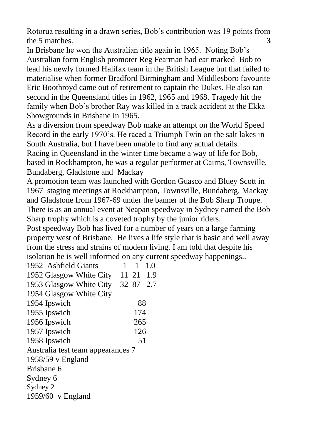Rotorua resulting in a drawn series, Bob's contribution was 19 points from the 5 matches. **3**

In Brisbane he won the Australian title again in 1965. Noting Bob's Australian form English promoter Reg Fearman had ear marked Bob to lead his newly formed Halifax team in the British League but that failed to materialise when former Bradford Birmingham and Middlesboro favourite Eric Boothroyd came out of retirement to captain the Dukes. He also ran second in the Queensland titles in 1962, 1965 and 1968. Tragedy hit the family when Bob's brother Ray was killed in a track accident at the Ekka Showgrounds in Brisbane in 1965.

As a diversion from speedway Bob make an attempt on the World Speed Record in the early 1970's. He raced a Triumph Twin on the salt lakes in South Australia, but I have been unable to find any actual details.

Racing in Queensland in the winter time became a way of life for Bob, based in Rockhampton, he was a regular performer at Cairns, Townsville, Bundaberg, Gladstone and Mackay

A promotion team was launched with Gordon Guasco and Bluey Scott in 1967 staging meetings at Rockhampton, Townsville, Bundaberg, Mackay and Gladstone from 1967-69 under the banner of the Bob Sharp Troupe. There is as an annual event at Neapan speedway in Sydney named the Bob Sharp trophy which is a coveted trophy by the junior riders.

Post speedway Bob has lived for a number of years on a large farming property west of Brisbane. He lives a life style that is basic and well away from the stress and strains of modern living. I am told that despite his isolation he is well informed on any current speedway happenings..

| 1952 Ashfield Giants              |     | 1     | 1.0 |
|-----------------------------------|-----|-------|-----|
| 1952 Glasgow White City           |     | 11 21 | 1.9 |
| 1953 Glasgow White City 32 87 2.7 |     |       |     |
| 1954 Glasgow White City           |     |       |     |
| 1954 Ipswich                      |     | 88    |     |
| 1955 Ipswich                      | 174 |       |     |
| 1956 Ipswich                      | 265 |       |     |
| 1957 Ipswich                      | 126 |       |     |
| 1958 Ipswich                      |     | 51    |     |
| Australia test team appearances 7 |     |       |     |
| $1958/59$ v England               |     |       |     |
| Brishane 6                        |     |       |     |
| Sydney 6                          |     |       |     |
| Sydney 2                          |     |       |     |
| 1959/60 v England                 |     |       |     |
|                                   |     |       |     |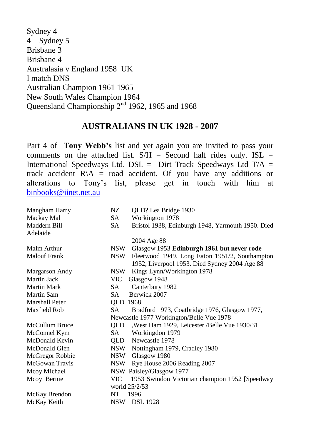Sydney 4 **4** Sydney 5 Brisbane 3 Brisbane 4 Australasia v England 1958 UK I match DNS Australian Champion 1961 1965 New South Wales Champion 1964 Queensland Championship 2<sup>nd</sup> 1962, 1965 and 1968

### **AUSTRALIANS IN UK 1928 - 2007**

Part 4 of **Tony Webb's** list and yet again you are invited to pass your comments on the attached list.  $S/H =$  Second half rides only. ISL = International Speedways Ltd. DSL = Dirt Track Speedways Ltd T/A = track accident  $R\backslash A$  = road accident. Of you have any additions or alterations to Tony's list, please get in touch with him at [binbooks@iinet.net.au](mailto:binbooks@iinet.net.au) 

| Mangham Harry       | NZ.        | QLD? Lea Bridge 1930                                                                            |
|---------------------|------------|-------------------------------------------------------------------------------------------------|
| Mackay Mal          | SA.        | Workington 1978                                                                                 |
| Maddern Bill        | SA.        | Bristol 1938, Edinburgh 1948, Yarmouth 1950. Died                                               |
| Adelaide            |            |                                                                                                 |
|                     |            | 2004 Age 88                                                                                     |
| Malm Arthur         | NSW -      | Glasgow 1953 Edinburgh 1961 but never rode                                                      |
| <b>Malouf Frank</b> | NSW        | Fleetwood 1949, Long Eaton 1951/2, Southampton<br>1952, Liverpool 1953. Died Sydney 2004 Age 88 |
|                     |            |                                                                                                 |
| Margarson Andy      | NSW -      | Kings Lynn/Workington 1978                                                                      |
| Martin Jack         | VIC        | Glasgow 1948                                                                                    |
| Martin Mark         | SA -       | Canterbury 1982                                                                                 |
| Martin Sam          | SA -       | Berwick 2007                                                                                    |
| Marshall Peter      | QLD 1968   |                                                                                                 |
| Maxfield Rob        | SA.        | Bradford 1973, Coatbridge 1976, Glasgow 1977,                                                   |
|                     |            | Newcastle 1977 Workington/Belle Vue 1978                                                        |
| McCullum Bruce      | QLD        | , West Ham 1929, Leicester / Belle Vue 1930/31                                                  |
| McConnel Kym        | SA -       | Workingdon 1979                                                                                 |
| McDonald Kevin      |            | QLD Newcastle 1978                                                                              |
| McDonald Glen       |            | NSW Nottingham 1979, Cradley 1980                                                               |
| McGregor Robbie     | <b>NSW</b> | Glasgow 1980                                                                                    |
| McGowan Travis      | NSW        | Rye House 2006 Reading 2007                                                                     |
| Mcoy Michael        |            | NSW Paisley/Glasgow 1977                                                                        |
| Mcoy Bernie         | VIC        | 1953 Swindon Victorian champion 1952 [Speedway]                                                 |
|                     |            | world 25/2/53                                                                                   |
| McKay Brendon       | NT         | 1996                                                                                            |
| McKay Keith         |            | NSW DSL 1928                                                                                    |
|                     |            |                                                                                                 |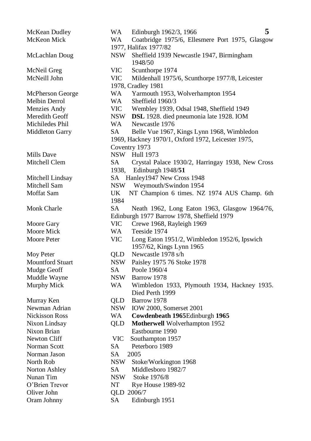Norman Jason SA 2005 Oliver John QLD 2006/7

McKean Dudley WA Edinburgh 1962/3, 1966 **5** McKeon Mick WA Coatbridge 1975/6, Ellesmere Port 1975, Glasgow 1977, Halifax 1977/82 McLachlan Doug NSW Sheffield 1939 Newcastle 1947, Birmingham 1948/50 McNeil Greg VIC Scunthorpe 1974 McNeill John VIC Mildenhall 1975/6, Scunthorpe 1977/8, Leicester 1978, Cradley 1981 McPherson George WA Yarmouth 1953, Wolverhampton 1954 Melbin Derrol WA Sheffield 1960/3 Menzies Andy VIC Wembley 1939, Odsal 1948, Sheffield 1949 Meredith Geoff NSW **DSL** 1928. died pneumonia late 1928. IOM Michiledes Phil WA Newcastle 1976 Middleton Garry SA Belle Vue 1967, Kings Lynn 1968, Wimbledon 1969, Hackney 1970/1, Oxford 1972, Leicester 1975, Coventry 1973 Mills Dave NSW Hull 1973 Mitchell Clem SA Crystal Palace 1930/2, Harringay 1938, New Cross 1938, Edinburgh 1948/**51** Mitchell Lindsay SA Hanley1947 New Cross 1948 Mitchell Sam NSW Weymouth/Swindon 1954 Moffat Sam UK NT Champion 6 times. NZ 1974 AUS Champ. 6th 1984 Monk Charle SA Neath 1962, Long Eaton 1963, Glasgow 1964/76, Edinburgh 1977 Barrow 1978, Sheffield 1979 Moore Gary **VIC** Crewe 1968, Rayleigh 1969 Moore Mick WA Teeside 1974 Moore Peter VIC Long Eaton 1951/2, Wimbledon 1952/6, Ipswich 1957/62, Kings Lynn 1965 Moy Peter **QLD** Newcastle 1978 s/h Mountford Stuart NSW Paisley 1975 76 Stoke 1978 Mudge Geoff SA Poole 1960/4 Muddle Wayne NSW Barrow 1978 Murphy Mick WA Wimbledon 1933, Plymouth 1934, Hackney 1935. Died Perth 1999 Murray Ken **QLD** Barrow 1978 Newman Adrian NSW IOW 2000, Somerset 2001 Nickisson Ross WA **Cowdenbeath 1965**Edinburgh **1965** Nixon Lindsay QLD **Motherwell** Wolverhampton 1952 Nixon Brian Eastbourne 1990 Newton Cliff VIC Southampton 1957 Norman Scott SA Peterboro 1989 North Rob NSW Stoke/Workington 1968 Norton Ashley SA Middlesboro 1982/7 Nunan Tim NSW Stoke 1976/8 O'Brien Trevor NT Rye House 1989-92 Oram Johnny SA Edinburgh 1951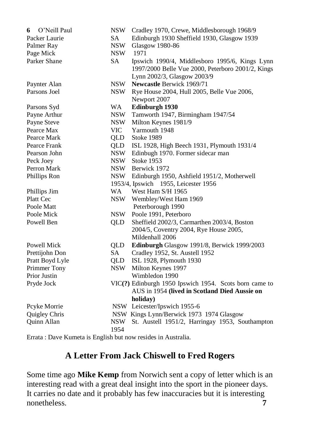| O'Neill Paul<br>6                                            | <b>NSW</b> | Cradley 1970, Crewe, Middlesborough 1968/9             |
|--------------------------------------------------------------|------------|--------------------------------------------------------|
| Packer Laurie                                                | <b>SA</b>  | Edinburgh 1930 Sheffield 1930, Glasgow 1939            |
| Palmer Ray                                                   | NSW        | <b>Glasgow 1980-86</b>                                 |
| Page Mick                                                    | <b>NSW</b> | 1971                                                   |
| Parker Shane                                                 | SA         | Ipswich 1990/4, Middlesboro 1995/6, Kings Lynn         |
|                                                              |            | 1997/2000 Belle Vue 2000, Peterboro 2001/2, Kings      |
|                                                              |            | Lynn 2002/3, Glasgow 2003/9                            |
| Paynter Alan                                                 | <b>NSW</b> | Newcastle Berwick 1969/71                              |
| Parsons Joel                                                 | NSW        | Rye House 2004, Hull 2005, Belle Vue 2006,             |
|                                                              |            | Newport 2007                                           |
| Parsons Syd                                                  | <b>WA</b>  | Edinburgh 1930                                         |
| Payne Arthur                                                 | <b>NSW</b> | Tamworth 1947, Birmingham 1947/54                      |
| Payne Steve                                                  | <b>NSW</b> | Milton Keynes 1981/9                                   |
| Pearce Max                                                   | VIC        | Yarmouth 1948                                          |
| Pearce Mark                                                  | OLD        | <b>Stoke 1989</b>                                      |
| Pearce Frank                                                 | QLD        | ISL 1928, High Beech 1931, Plymouth 1931/4             |
| Pearson John                                                 | NSW        | Edinbugh 1970. Former sidecar man                      |
| Peck Joey                                                    | <b>NSW</b> | <b>Stoke 1953</b>                                      |
| Perron Mark                                                  |            | NSW Berwick 1972                                       |
| Phillips Ron                                                 |            | NSW Edinburgh 1950, Ashfield 1951/2, Motherwell        |
|                                                              |            | 1953/4, Ipswich 1955, Leicester 1956                   |
| Phillips Jim                                                 | WA         | West Ham S/H 1965                                      |
| Platt Cec                                                    | <b>NSW</b> | Wembley/West Ham 1969                                  |
| Poole Matt                                                   |            | Peterborough 1990                                      |
| Poole Mick                                                   | NSW        | Poole 1991, Peterboro                                  |
| Powell Ben                                                   | OLD.       | Sheffield 2002/3, Carmarthen 2003/4, Boston            |
|                                                              |            | 2004/5, Coventry 2004, Rye House 2005,                 |
|                                                              |            | Mildenhall 2006                                        |
| Powell Mick                                                  | QLD        | Edinburgh Glasgow 1991/8, Berwick 1999/2003            |
| Prettijohn Don                                               | SA         | Cradley 1952, St. Austell 1952                         |
| Pratt Boyd Lyle                                              | QLD        | ISL 1928, Plymouth 1930                                |
| Primmer Tony                                                 | NSW        | Milton Keynes 1997                                     |
| Prior Justin                                                 |            | Wimbledon 1990                                         |
| Pryde Jock                                                   |            | VIC(?) Edinburgh 1950 Ipswich 1954. Scots born came to |
|                                                              |            | AUS in 1954 (lived in Scotland Died Aussie on          |
|                                                              |            | holiday)                                               |
| Pcyke Morrie                                                 |            | NSW Leicester/Ipswich 1955-6                           |
| Quigley Chris                                                |            | NSW Kings Lynn/Berwick 1973 1974 Glasgow               |
| Quinn Allan                                                  | <b>NSW</b> | St. Austell 1951/2, Harringay 1953, Southampton        |
|                                                              | 1954       |                                                        |
| Equato : Dava Kumata in English but nouveau dan in Australia |            |                                                        |

Errata : Dave Kumeta is English but now resides in Australia.

# **A Letter From Jack Chiswell to Fred Rogers**

Some time ago **Mike Kemp** from Norwich sent a copy of letter which is an interesting read with a great deal insight into the sport in the pioneer days. It carries no date and it probably has few inaccuracies but it is interesting nonetheless. **7**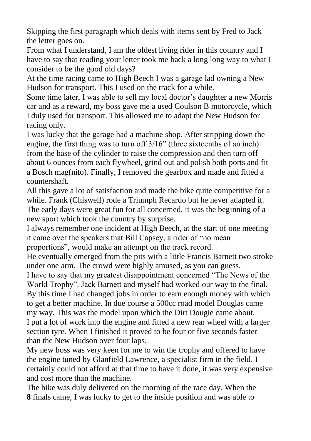Skipping the first paragraph which deals with items sent by Fred to Jack the letter goes on.

From what I understand, I am the oldest living rider in this country and I have to say that reading your letter took me back a long long way to what I consider to be the good old days?

At the time racing came to High Beech I was a garage lad owning a New Hudson for transport. This I used on the track for a while.

Some time later, I was able to sell my local doctor's daughter a new Morris car and as a reward, my boss gave me a used Coulson B motorcycle, which I duly used for transport. This allowed me to adapt the New Hudson for racing only.

I was lucky that the garage had a machine shop. After stripping down the engine, the first thing was to turn off  $3/16$ " (three sixteenths of an inch) from the base of the cylinder to raise the compression and then turn off about 6 ounces from each flywheel, grind out and polish both ports and fit a Bosch mag(nito). Finally, I removed the gearbox and made and fitted a countershaft.

All this gave a lot of satisfaction and made the bike quite competitive for a while. Frank (Chiswell) rode a Triumph Recardo but he never adapted it. The early days were great fun for all concerned, it was the beginning of a new sport which took the country by surprise.

I always remember one incident at High Beech, at the start of one meeting it came over the speakers that Bill Capsey, a rider of "no mean

proportions", would make an attempt on the track record.

He eventually emerged from the pits with a little Francis Barnett two stroke under one arm. The crowd were highly amused, as you can guess.

I have to say that my greatest disappointment concerned "The News of the World Trophy". Jack Barnett and myself had worked our way to the final. By this time I had changed jobs in order to earn enough money with which to get a better machine. In due course a 500cc road model Douglas came my way. This was the model upon which the Dirt Dougie came about. I put a lot of work into the engine and fitted a new rear wheel with a larger section tyre. When I finished it proved to be four or five seconds faster than the New Hudson over four laps.

My new boss was very keen for me to win the trophy and offered to have the engine tuned by Glanfield Lawrence, a specialist firm in the field. I certainly could not afford at that time to have it done, it was very expensive and cost more than the machine.

The bike was duly delivered on the morning of the race day. When the **8** finals came, I was lucky to get to the inside position and was able to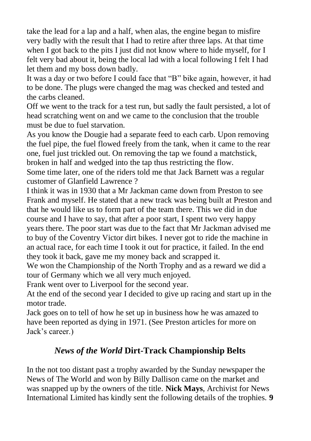take the lead for a lap and a half, when alas, the engine began to misfire very badly with the result that I had to retire after three laps. At that time when I got back to the pits I just did not know where to hide myself, for I felt very bad about it, being the local lad with a local following I felt I had let them and my boss down badly.

It was a day or two before I could face that "B" bike again, however, it had to be done. The plugs were changed the mag was checked and tested and the carbs cleaned.

Off we went to the track for a test run, but sadly the fault persisted, a lot of head scratching went on and we came to the conclusion that the trouble must be due to fuel starvation.

As you know the Dougie had a separate feed to each carb. Upon removing the fuel pipe, the fuel flowed freely from the tank, when it came to the rear one, fuel just trickled out. On removing the tap we found a matchstick, broken in half and wedged into the tap thus restricting the flow.

Some time later, one of the riders told me that Jack Barnett was a regular customer of Glanfield Lawrence ?

I think it was in 1930 that a Mr Jackman came down from Preston to see Frank and myself. He stated that a new track was being built at Preston and that he would like us to form part of the team there. This we did in due course and I have to say, that after a poor start, I spent two very happy years there. The poor start was due to the fact that Mr Jackman advised me to buy of the Coventry Victor dirt bikes. I never got to ride the machine in an actual race, for each time I took it out for practice, it failed. In the end they took it back, gave me my money back and scrapped it.

We won the Championship of the North Trophy and as a reward we did a tour of Germany which we all very much enjoyed.

Frank went over to Liverpool for the second year.

At the end of the second year I decided to give up racing and start up in the motor trade.

Jack goes on to tell of how he set up in business how he was amazed to have been reported as dying in 1971. (See Preston articles for more on Jack's career.)

# *News of the World* **Dirt-Track Championship Belts**

In the not too distant past a trophy awarded by the Sunday newspaper the News of The World and won by Billy Dallison came on the market and was snapped up by the owners of the title. **Nick Mays**, Archivist for News International Limited has kindly sent the following details of the trophies. **9**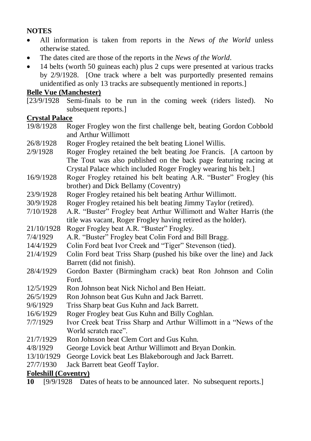#### **NOTES**

- All information is taken from reports in the *News of the World* unless otherwise stated.
- The dates cited are those of the reports in the *News of the World*.
- 14 belts (worth 50 guineas each) plus 2 cups were presented at various tracks by 2/9/1928. [One track where a belt was purportedly presented remains unidentified as only 13 tracks are subsequently mentioned in reports.]

#### **Belle Vue (Manchester)**

[23/9/1928 Semi-finals to be run in the coming week (riders listed). No subsequent reports.]

#### **Crystal Palace**

- 19/8/1928 Roger Frogley won the first challenge belt, beating Gordon Cobbold and Arthur Willimott
- 26/8/1928 Roger Frogley retained the belt beating Lionel Willis.
- 2/9/1928 Roger Frogley retained the belt beating Joe Francis. [A cartoon by The Tout was also published on the back page featuring racing at Crystal Palace which included Roger Frogley wearing his belt.]
- 16/9/1928 Roger Frogley retained his belt beating A.R. "Buster" Frogley (his brother) and Dick Bellamy (Coventry)
- 23/9/1928 Roger Frogley retained his belt beating Arthur Willimott.
- 30/9/1928 Roger Frogley retained his belt beating Jimmy Taylor (retired).
- 7/10/1928 A.R. "Buster" Frogley beat Arthur Willimott and Walter Harris (the title was vacant, Roger Frogley having retired as the holder).
- 21/10/1928 Roger Frogley beat A.R. "Buster" Frogley.
- 7/4/1929 A.R. "Buster" Frogley beat Colin Ford and Bill Bragg.
- 14/4/1929 Colin Ford beat Ivor Creek and "Tiger" Stevenson (tied).
- 21/4/1929 Colin Ford beat Triss Sharp (pushed his bike over the line) and Jack Barrett (did not finish).
- 28/4/1929 Gordon Baxter (Birmingham crack) beat Ron Johnson and Colin Ford.
- 12/5/1929 Ron Johnson beat Nick Nichol and Ben Heiatt.
- 26/5/1929 Ron Johnson beat Gus Kuhn and Jack Barrett.
- 9/6/1929 Triss Sharp beat Gus Kuhn and Jack Barrett.
- 16/6/1929 Roger Frogley beat Gus Kuhn and Billy Coghlan.
- 7/7/1929 Ivor Creek beat Triss Sharp and Arthur Willimott in a "News of the World scratch race"
- 21/7/1929 Ron Johnson beat Clem Cort and Gus Kuhn.
- 4/8/1929 George Lovick beat Arthur Willimott and Bryan Donkin.
- 13/10/1929 George Lovick beat Les Blakeborough and Jack Barrett.
- 27/7/1930 Jack Barrett beat Geoff Taylor.

#### **Foleshill (Coventry)**

**10** [9/9/1928 Dates of heats to be announced later. No subsequent reports.]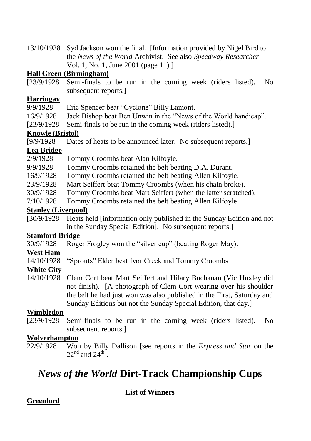13/10/1928 Syd Jackson won the final. [Information provided by Nigel Bird to the *News of the World* Archivist. See also *Speedway Researcher* Vol. 1, No. 1, June 2001 (page 11).]

#### **Hall Green (Birmingham)**

[23/9/1928 Semi-finals to be run in the coming week (riders listed). No subsequent reports.

#### **Harringay**

9/9/1928 Eric Spencer beat "Cyclone" Billy Lamont.

16/9/1928 Jack Bishop beat Ben Unwin in the "News of the World handicap".

[23/9/1928 Semi-finals to be run in the coming week (riders listed).]

#### **Knowle (Bristol)**

[9/9/1928 Dates of heats to be announced later. No subsequent reports.]

#### **Lea Bridge**

2/9/1928 Tommy Croombs beat Alan Kilfoyle.

9/9/1928 Tommy Croombs retained the belt beating D.A. Durant.

16/9/1928 Tommy Croombs retained the belt beating Allen Kilfoyle.

23/9/1928 Mart Seiffert beat Tommy Croombs (when his chain broke).

30/9/1928 Tommy Croombs beat Mart Seiffert (when the latter scratched).

7/10/1928 Tommy Croombs retained the belt beating Allen Kilfoyle.

#### **Stanley (Liverpool)**

[30/9/1928 Heats held [information only published in the Sunday Edition and not in the Sunday Special Edition]. No subsequent reports.]

# **Stamford Bridge**<br>30/9/1928 Roge

Roger Frogley won the "silver cup" (beating Roger May).

# **West Ham**<br>14/10/1928

"Sprouts" Elder beat Ivor Creek and Tommy Croombs.

#### **White City**

14/10/1928 Clem Cort beat Mart Seiffert and Hilary Buchanan (Vic Huxley did not finish). [A photograph of Clem Cort wearing over his shoulder the belt he had just won was also published in the First, Saturday and Sunday Editions but not the Sunday Special Edition, that day.]

#### **Wimbledon**

[23/9/1928 Semi-finals to be run in the coming week (riders listed). No subsequent reports.]

#### **Wolverhampton**

22/9/1928 Won by Billy Dallison [see reports in the *Express and Star* on the  $22<sup>nd</sup>$  and  $24<sup>th</sup>$ .

# *News of the World* **Dirt-Track Championship Cups**

**List of Winners**

#### **Greenford**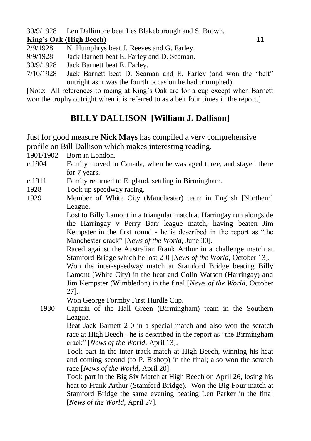30/9/1928 Len Dallimore beat Les Blakeborough and S. Brown.

#### **King's Oak (High Beech) 11**

- 2/9/1928 N. Humphrys beat J. Reeves and G. Farley.
- 9/9/1928 Jack Barnett beat E. Farley and D. Seaman.
- 30/9/1928 Jack Barnett beat E. Farley.
- $7/10/1928$  Jack Barnett beat D. Seaman and E. Farley (and won the "belt" outright as it was the fourth occasion he had triumphed).

[Note: All references to racing at King's Oak are for a cup except when Barnett won the trophy outright when it is referred to as a belt four times in the report.]

# **BILLY DALLISON [William J. Dallison]**

Just for good measure **Nick Mays** has compiled a very comprehensive profile on Bill Dallison which makes interesting reading.

1901/1902 Born in London.

- c.1904 Family moved to Canada, when he was aged three, and stayed there for 7 years.
- c.1911 Family returned to England, settling in Birmingham.
- 1928 Took up speedway racing.
- 1929 Member of White City (Manchester) team in English [Northern] League.

Lost to Billy Lamont in a triangular match at Harringay run alongside the Harringay v Perry Barr league match, having beaten Jim Kempster in the first round - he is described in the report as "the Manchester crack‖ [*News of the World*, June 30].

Raced against the Australian Frank Arthur in a challenge match at Stamford Bridge which he lost 2-0 [*News of the World*, October 13].

Won the inter-speedway match at Stamford Bridge beating Billy Lamont (White City) in the heat and Colin Watson (Harringay) and Jim Kempster (Wimbledon) in the final [*News of the World*, October 27].

Won George Formby First Hurdle Cup.

1930 Captain of the Hall Green (Birmingham) team in the Southern League.

Beat Jack Barnett 2-0 in a special match and also won the scratch race at High Beech - he is described in the report as "the Birmingham" crack‖ [*News of the World*, April 13].

Took part in the inter-track match at High Beech, winning his heat and coming second (to P. Bishop) in the final; also won the scratch race [*News of the World*, April 20].

Took part in the Big Six Match at High Beech on April 26, losing his heat to Frank Arthur (Stamford Bridge). Won the Big Four match at Stamford Bridge the same evening beating Len Parker in the final [*News of the World*, April 27].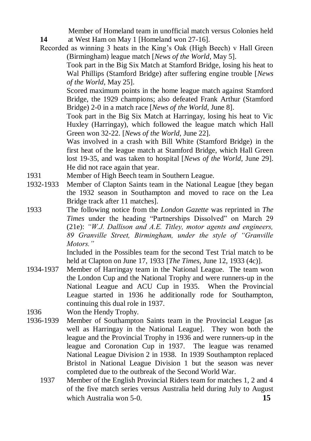Member of Homeland team in unofficial match versus Colonies held **14** at West Ham on May 1 [Homeland won 27-16].

Recorded as winning 3 heats in the King's Oak (High Beech) v Hall Green (Birmingham) league match [*News of the World*, May 5].

Took part in the Big Six Match at Stamford Bridge, losing his heat to Wal Phillips (Stamford Bridge) after suffering engine trouble [*News of the World*, May 25].

Scored maximum points in the home league match against Stamford Bridge, the 1929 champions; also defeated Frank Arthur (Stamford Bridge) 2-0 in a match race [*News of the World*, June 8].

Took part in the Big Six Match at Harringay, losing his heat to Vic Huxley (Harringay), which followed the league match which Hall Green won 32-22. [*News of the World*, June 22].

Was involved in a crash with Bill White (Stamford Bridge) in the first heat of the league match at Stamford Bridge, which Hall Green lost 19-35, and was taken to hospital [*News of the World*, June 29]. He did not race again that year.

- 1931 Member of High Beech team in Southern League.
- 1932-1933 Member of Clapton Saints team in the National League [they began the 1932 season in Southampton and moved to race on the Lea Bridge track after 11 matches].
- 1933 The following notice from the *London Gazette* was reprinted in *The Times* under the heading "Partnerships Dissolved" on March 29 (21e): *"W.J. Dallison and A.E. Titley, motor agents and engineers, 89 Granville Street, Birmingham, under the style of "Granville Motors."*

Included in the Possibles team for the second Test Trial match to be held at Clapton on June 17, 1933 [*The Times*, June 12, 1933 (4c)].

- 1934-1937 Member of Harringay team in the National League. The team won the London Cup and the National Trophy and were runners-up in the National League and ACU Cup in 1935. When the Provincial League started in 1936 he additionally rode for Southampton, continuing this dual role in 1937.
- 1936 Won the Hendy Trophy.
- 1936-1939 Member of Southampton Saints team in the Provincial League [as well as Harringay in the National League]. They won both the league and the Provincial Trophy in 1936 and were runners-up in the league and Coronation Cup in 1937. The league was renamed National League Division 2 in 1938. In 1939 Southampton replaced Bristol in National League Division 1 but the season was never completed due to the outbreak of the Second World War.
	- 1937 Member of the English Provincial Riders team for matches 1, 2 and 4 of the five match series versus Australia held during July to August which Australia won 5-0. **15**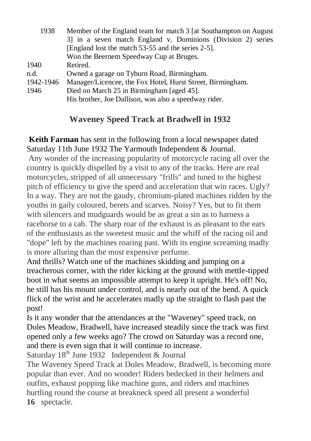| 3] in a seven match England v. Dominions (Division 2) series            |  |
|-------------------------------------------------------------------------|--|
| [England lost the match 53-55 and the series 2-5].                      |  |
| Won the Beernem Speedway Cup at Bruges.                                 |  |
| 1940<br>Retired.                                                        |  |
| n.d.<br>Owned a garage on Tyburn Road, Birmingham.                      |  |
| 1942-1946<br>Manager/Licencee, the Fox Hotel, Hurst Street, Birmingham. |  |
| Died on March 25 in Birmingham [aged 45].<br>1946                       |  |
| His brother, Joe Dallison, was also a speedway rider.                   |  |

# **Waveney Speed Track at Bradwell in 1932**

**Keith Farman** has sent in the following from a local newspaper dated Saturday 11th June 1932 The Yarmouth Independent & Journal.

Any wonder of the increasing popularity of motorcycle racing all over the country is quickly dispelled by a visit to any of the tracks. Here are real motorcycles, stripped of all unnecessary "frills" and tuned to the highest pitch of efficiency to give the speed and acceleration that win races. Ugly? In a way. They are not the gaudy, chromium-plated machines ridden by the youths in gaily coloured, berets and scarves. Noisy? Yes, but to fit them with silencers and mudguards would be as great a sin as to harness a racehorse to a cab. The sharp roar of the exhaust is as pleasant to the ears of the enthusiasts as the sweetest music and the whiff of the racing oil and "dope" left by the machines roaring past. With its engine screaming madly is more alluring than the most expensive perfume.

And thrills? Watch one of the machines skidding and jumping on a treacherous corner, with the rider kicking at the ground with mettle-tipped boot in what seems an impossible attempt to keep it upright. He's off! No, he still has his mount under control, and is nearly out of the bend. A quick flick of the wrist and he accelerates madly up the straight to flash past the post!

Is it any wonder that the attendances at the "Waveney" speed track, on Doles Meadow, Bradwell, have increased steadily since the track was first opened only a few weeks ago? The crowd on Saturday was a record one, and there is even sign that it will continue to increase.

Saturday 18th June 1932Independent & Journal

The Waveney Speed Track at Doles Meadow, Bradwell, is becoming more popular than ever. And no wonder! Riders bedecked in their helmets and outfits, exhaust popping like machine guns, and riders and machines hurtling round the course at breakneck speed all present a wonderful **16** spectacle.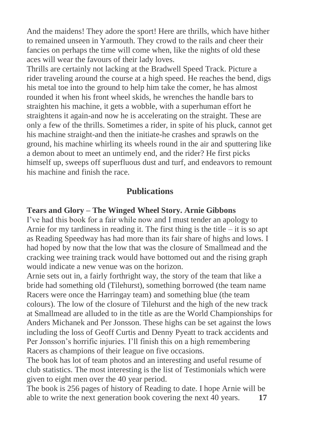And the maidens! They adore the sport! Here are thrills, which have hither to remained unseen in Yarmouth. They crowd to the rails and cheer their fancies on perhaps the time will come when, like the nights of old these aces will wear the favours of their lady loves.

Thrills are certainly not lacking at the Bradwell Speed Track. Picture a rider traveling around the course at a high speed. He reaches the bend, digs his metal toe into the ground to help him take the comer, he has almost rounded it when his front wheel skids, he wrenches the handle bars to straighten his machine, it gets a wobble, with a superhuman effort he straightens it again-and now he is accelerating on the straight. These are only a few of the thrills. Sometimes a rider, in spite of his pluck, cannot get his machine straight-and then the initiate-he crashes and sprawls on the ground, his machine whirling its wheels round in the air and sputtering like a demon about to meet an untimely end, and the rider? He first picks himself up, sweeps off superfluous dust and turf, and endeavors to remount his machine and finish the race.

#### **Publications**

#### **Tears and Glory – The Winged Wheel Story. Arnie Gibbons**

I've had this book for a fair while now and I must tender an apology to Arnie for my tardiness in reading it. The first thing is the title  $-$  it is so apt as Reading Speedway has had more than its fair share of highs and lows. I had hoped by now that the low that was the closure of Smallmead and the cracking wee training track would have bottomed out and the rising graph would indicate a new venue was on the horizon.

Arnie sets out in, a fairly forthright way, the story of the team that like a bride had something old (Tilehurst), something borrowed (the team name Racers were once the Harringay team) and something blue (the team colours). The low of the closure of Tilehurst and the high of the new track at Smallmead are alluded to in the title as are the World Championships for Anders Michanek and Per Jonsson. These highs can be set against the lows including the loss of Geoff Curtis and Denny Pyeatt to track accidents and Per Jonsson's horrific injuries. I'll finish this on a high remembering Racers as champions of their league on five occasions.

The book has lot of team photos and an interesting and useful resume of club statistics. The most interesting is the list of Testimonials which were given to eight men over the 40 year period.

The book is 256 pages of history of Reading to date. I hope Arnie will be able to write the next generation book covering the next 40 years. **17**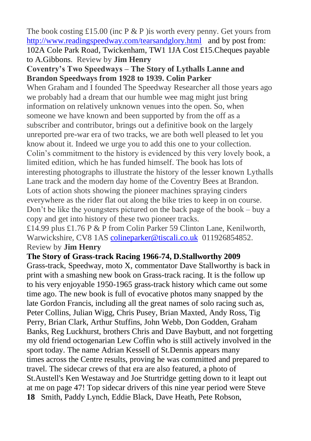The book costing £15.00 (inc P  $\&$  P ) is worth every penny. Get yours from <http://www.readingspeedway.com/tearsandglory.html>and by post from: 102A Cole Park Road, Twickenham, TW1 1JA Cost £15.Cheques payable to A.Gibbons. Review by **Jim Henry**

#### **Coventry's Two Speedways – The Story of Lythalls Lanne and Brandon Speedways from 1928 to 1939. Colin Parker**

When Graham and I founded The Speedway Researcher all those years ago we probably had a dream that our humble wee mag might just bring information on relatively unknown venues into the open. So, when someone we have known and been supported by from the off as a subscriber and contributor, brings out a definitive book on the largely unreported pre-war era of two tracks, we are both well pleased to let you know about it. Indeed we urge you to add this one to your collection. Colin's commitment to the history is evidenced by this very lovely book, a limited edition, which he has funded himself. The book has lots of interesting photographs to illustrate the history of the lesser known Lythalls Lane track and the modern day home of the Coventry Bees at Brandon. Lots of action shots showing the pioneer machines spraying cinders everywhere as the rider flat out along the bike tries to keep in on course. Don't be like the youngsters pictured on the back page of the book – buy a copy and get into history of these two pioneer tracks.

£14.99 plus £1.76 P & P from Colin Parker 59 Clinton Lane, Kenilworth, Warwickshire, CV8 1AS [colineparker@tiscali.co.uk](mailto:colineparker@tiscali.co.uk) 011926854852. Review by **Jim Henry**

#### **The Story of Grass-track Racing 1966-74, D.Stallworthy 2009**

Grass-track, Speedway, moto X, commentator Dave Stallworthy is back in print with a smashing new book on Grass-track racing. It is the follow up to his very enjoyable 1950-1965 grass-track history which came out some time ago. The new book is full of evocative photos many snapped by the late Gordon Francis, including all the great names of solo racing such as, Peter Collins, Julian Wigg, Chris Pusey, Brian Maxted, Andy Ross, Tig Perry, Brian Clark, Arthur Stuffins, John Webb, Don Godden, Graham Banks, Reg Luckhurst, brothers Chris and Dave Baybutt, and not forgetting my old friend octogenarian Lew Coffin who is still actively involved in the sport today. The name Adrian Kessell of St.Dennis appears many times across the Centre results, proving he was committed and prepared to travel. The sidecar crews of that era are also featured, a photo of St.Austell's Ken Westaway and Joe Sturtridge getting down to it leapt out at me on page 47! Top sidecar drivers of this nine year period were Steve **18** Smith, Paddy Lynch, Eddie Black, Dave Heath, Pete Robson,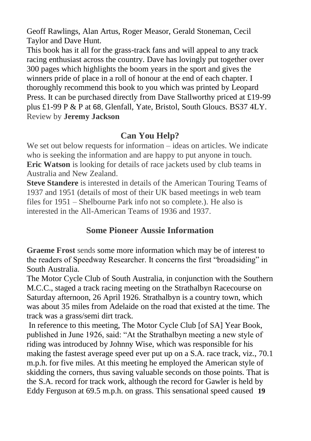Geoff Rawlings, Alan Artus, Roger Measor, Gerald Stoneman, Cecil Taylor and Dave Hunt.

This book has it all for the grass-track fans and will appeal to any track racing enthusiast across the country. Dave has lovingly put together over 300 pages which highlights the boom years in the sport and gives the winners pride of place in a roll of honour at the end of each chapter. I thoroughly recommend this book to you which was printed by Leopard Press. It can be purchased directly from Dave Stallworthy priced at £19-99 plus £1-99 P & P at 68, Glenfall, Yate, Bristol, South Gloucs. BS37 4LY. Review by **Jeremy Jackson**

### **Can You Help?**

We set out below requests for information – ideas on articles. We indicate who is seeking the information and are happy to put anyone in touch. **Eric Watson** is looking for details of race jackets used by club teams in Australia and New Zealand.

**Steve Standere** is interested in details of the American Touring Teams of 1937 and 1951 (details of most of their UK based meetings in web team files for 1951 – Shelbourne Park info not so complete.). He also is interested in the All-American Teams of 1936 and 1937.

# **Some Pioneer Aussie Information**

**Graeme Frost** sends some more information which may be of interest to the readers of Speedway Researcher. It concerns the first "broadsiding" in South Australia.

The Motor Cycle Club of South Australia, in conjunction with the Southern M.C.C., staged a track racing meeting on the Strathalbyn Racecourse on Saturday afternoon, 26 April 1926. Strathalbyn is a country town, which was about 35 miles from Adelaide on the road that existed at the time. The track was a grass/semi dirt track.

In reference to this meeting, The Motor Cycle Club [of SA] Year Book, published in June 1926, said: "At the Strathalbyn meeting a new style of riding was introduced by Johnny Wise, which was responsible for his making the fastest average speed ever put up on a S.A. race track, viz., 70.1 m.p.h. for five miles. At this meeting he employed the American style of skidding the corners, thus saving valuable seconds on those points. That is the S.A. record for track work, although the record for Gawler is held by Eddy Ferguson at 69.5 m.p.h. on grass. This sensational speed caused **19**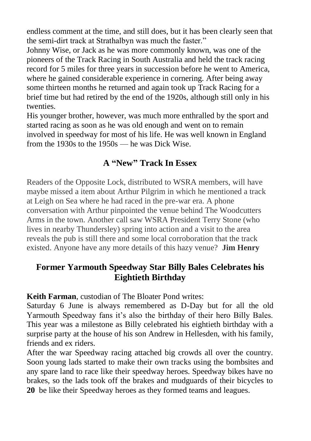endless comment at the time, and still does, but it has been clearly seen that the semi-dirt track at Strathalbyn was much the faster."

Johnny Wise, or Jack as he was more commonly known, was one of the pioneers of the Track Racing in South Australia and held the track racing record for 5 miles for three years in succession before he went to America, where he gained considerable experience in cornering. After being away some thirteen months he returned and again took up Track Racing for a brief time but had retired by the end of the 1920s, although still only in his twenties.

His younger brother, however, was much more enthralled by the sport and started racing as soon as he was old enough and went on to remain involved in speedway for most of his life. He was well known in England from the 1930s to the 1950s — he was Dick Wise.

# **A "New" Track In Essex**

Readers of the Opposite Lock, distributed to WSRA members, will have maybe missed a item about Arthur Pilgrim in which he mentioned a track at Leigh on Sea where he had raced in the pre-war era. A phone conversation with Arthur pinpointed the venue behind The Woodcutters Arms in the town. Another call saw WSRA President Terry Stone (who lives in nearby Thundersley) spring into action and a visit to the area reveals the pub is still there and some local corroboration that the track existed. Anyone have any more details of this hazy venue? **Jim Henry**

# **Former Yarmouth Speedway Star Billy Bales Celebrates his Eightieth Birthday**

**Keith Farman**, custodian of The Bloater Pond writes:

Saturday 6 June is always remembered as D-Day but for all the old Yarmouth Speedway fans it's also the birthday of their hero Billy Bales. This year was a milestone as Billy celebrated his eightieth birthday with a surprise party at the house of his son Andrew in Hellesden, with his family, friends and ex riders.

After the war Speedway racing attached big crowds all over the country. Soon young lads started to make their own tracks using the bombsites and any spare land to race like their speedway heroes. Speedway bikes have no brakes, so the lads took off the brakes and mudguards of their bicycles to **20** be like their Speedway heroes as they formed teams and leagues.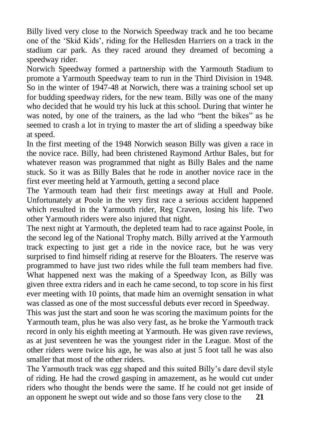Billy lived very close to the Norwich Speedway track and he too became one of the ‗Skid Kids', riding for the Hellesden Harriers on a track in the stadium car park. As they raced around they dreamed of becoming a speedway rider.

Norwich Speedway formed a partnership with the Yarmouth Stadium to promote a Yarmouth Speedway team to run in the Third Division in 1948. So in the winter of 1947-48 at Norwich, there was a training school set up for budding speedway riders, for the new team. Billy was one of the many who decided that he would try his luck at this school. During that winter he was noted, by one of the trainers, as the lad who "bent the bikes" as he seemed to crash a lot in trying to master the art of sliding a speedway bike at speed.

In the first meeting of the 1948 Norwich season Billy was given a race in the novice race. Billy, had been christened Raymond Arthur Bales, but for whatever reason was programmed that night as Billy Bales and the name stuck. So it was as Billy Bales that he rode in another novice race in the first ever meeting held at Yarmouth, getting a second place

The Yarmouth team had their first meetings away at Hull and Poole. Unfortunately at Poole in the very first race a serious accident happened which resulted in the Yarmouth rider, Reg Craven, losing his life. Two other Yarmouth riders were also injured that night.

The next night at Yarmouth, the depleted team had to race against Poole, in the second leg of the National Trophy match. Billy arrived at the Yarmouth track expecting to just get a ride in the novice race, but he was very surprised to find himself riding at reserve for the Bloaters. The reserve was programmed to have just two rides while the full team members had five. What happened next was the making of a Speedway Icon, as Billy was given three extra riders and in each he came second, to top score in his first ever meeting with 10 points, that made him an overnight sensation in what was classed as one of the most successful debuts ever record in Speedway.

This was just the start and soon he was scoring the maximum points for the Yarmouth team, plus he was also very fast, as he broke the Yarmouth track record in only his eighth meeting at Yarmouth. He was given rave reviews, as at just seventeen he was the youngest rider in the League. Most of the other riders were twice his age, he was also at just 5 foot tall he was also smaller that most of the other riders.

The Yarmouth track was egg shaped and this suited Billy's dare devil style of riding. He had the crowd gasping in amazement, as he would cut under riders who thought the bends were the same. If he could not get inside of an opponent he swept out wide and so those fans very close to the **21**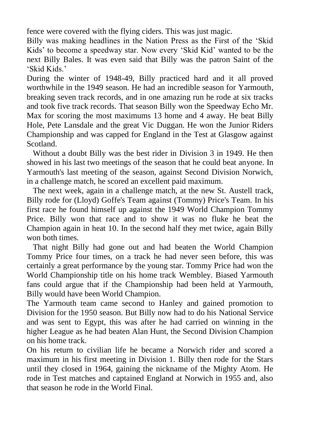fence were covered with the flying ciders. This was just magic.

Billy was making headlines in the Nation Press as the First of the 'Skid Kids' to become a speedway star. Now every 'Skid Kid' wanted to be the next Billy Bales. It was even said that Billy was the patron Saint of the ‗Skid Kids.'

During the winter of 1948-49, Billy practiced hard and it all proved worthwhile in the 1949 season. He had an incredible season for Yarmouth, breaking seven track records, and in one amazing run he rode at six tracks and took five track records. That season Billy won the Speedway Echo Mr. Max for scoring the most maximums 13 home and 4 away. He beat Billy Hole, Pete Lansdale and the great Vic Duggan. He won the Junior Riders Championship and was capped for England in the Test at Glasgow against Scotland.

 Without a doubt Billy was the best rider in Division 3 in 1949. He then showed in his last two meetings of the season that he could beat anyone. In Yarmouth's last meeting of the season, against Second Division Norwich, in a challenge match, he scored an excellent paid maximum.

 The next week, again in a challenge match, at the new St. Austell track, Billy rode for (Lloyd) Goffe's Team against (Tommy) Price's Team. In his first race he found himself up against the 1949 World Champion Tommy Price. Billy won that race and to show it was no fluke he beat the Champion again in heat 10. In the second half they met twice, again Billy won both times.

 That night Billy had gone out and had beaten the World Champion Tommy Price four times, on a track he had never seen before, this was certainly a great performance by the young star. Tommy Price had won the World Championship title on his home track Wembley. Biased Yarmouth fans could argue that if the Championship had been held at Yarmouth, Billy would have been World Champion.

The Yarmouth team came second to Hanley and gained promotion to Division for the 1950 season. But Billy now had to do his National Service and was sent to Egypt, this was after he had carried on winning in the higher League as he had beaten Alan Hunt, the Second Division Champion on his home track.

On his return to civilian life he became a Norwich rider and scored a maximum in his first meeting in Division 1. Billy then rode for the Stars until they closed in 1964, gaining the nickname of the Mighty Atom. He rode in Test matches and captained England at Norwich in 1955 and, also that season he rode in the World Final.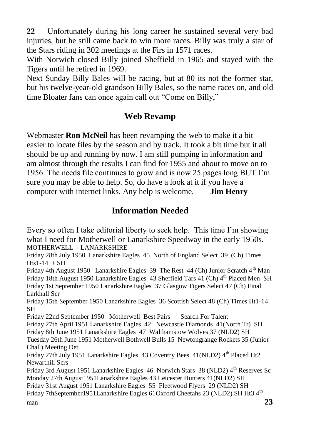**22** Unfortunately during his long career he sustained several very bad injuries, but he still came back to win more races. Billy was truly a star of the Stars riding in 302 meetings at the Firs in 1571 races.

With Norwich closed Billy joined Sheffield in 1965 and stayed with the Tigers until he retired in 1969.

Next Sunday Billy Bales will be racing, but at 80 its not the former star, but his twelve-year-old grandson Billy Bales, so the name races on, and old time Bloater fans can once again call out "Come on Billy,"

## **Web Revamp**

Webmaster **Ron McNeil** has been revamping the web to make it a bit easier to locate files by the season and by track. It took a bit time but it all should be up and running by now. I am still pumping in information and am almost through the results I can find for 1955 and about to move on to 1956. The needs file continues to grow and is now 25 pages long BUT I'm sure you may be able to help. So, do have a look at it if you have a computer with internet links. Any help is welcome. **Jim Henry**

# **Information Needed**

Every so often I take editorial liberty to seek help. This time I'm showing what I need for Motherwell or Lanarkshire Speedway in the early 1950s. MOTHERWELL - LANARKSHIRE

Friday 28th July 1950 Lanarkshire Eagles 45 North of England Select 39 (Ch) Times  $Hts1-14 + SH$ 

Friday 4th August 1950 Lanarkshire Eagles 39 The Rest  $44$  (Ch) Junior Scratch  $4<sup>th</sup>$  Man Friday 18th August 1950 Lanarkshire Eagles 43 Sheffield Tars 41 (Ch)  $4<sup>th</sup>$  Placed Men SH Friday 1st September 1950 Lanarkshire Eagles 37 Glasgow Tigers Select 47 (Ch) Final Larkhall Scr

Friday 15th September 1950 Lanarkshire Eagles 36 Scottish Select 48 (Ch) Times Ht1-14 SH

Friday 22nd September 1950 Motherwell Best Pairs Search For Talent

Friday 27th April 1951 Lanarkshire Eagles 42 Newcastle Diamonds 41(North Tr) SH Friday 8th June 1951 Lanarkshire Eagles 47 Walthamstow Wolves 37 (NLD2) SH

Tuesday 26th June 1951 Motherwell Bothwell Bulls 15 Newtongrange Rockets 35 (Junior Chall) Meeting Det

Friday 27th July 1951 Lanarkshire Eagles 43 Coventry Bees 41(NLD2) 4th Placed Ht2 Newarthill Scrs

Friday 3rd August 1951 Lanarkshire Eagles 46 Norwich Stars 38 (NLD2) 4<sup>th</sup> Reserves Sc Monday 27th August1951Lanarkshire Eagles 43 Leicester Hunters 41(NLD2) SH Friday 31st August 1951 Lanarkshire Eagles 55 Fleetwood Flyers 29 (NLD2) SH Friday 7thSeptember1951Lanarkshire Eagles 61Oxford Cheetahs 23 (NLD2) SH Ht3 4<sup>th</sup>

man  $23$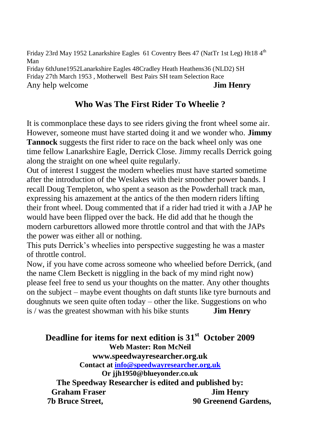Friday 23rd May 1952 Lanarkshire Eagles 61 Coventry Bees 47 (NatTr 1st Leg) Ht18 4<sup>th</sup> Man Friday 6thJune1952Lanarkshire Eagles 48Cradley Heath Heathens36 (NLD2) SH Friday 27th March 1953 , Motherwell Best Pairs SH team Selection Race Any help welcome **Jim Henry**

# **Who Was The First Rider To Wheelie ?**

It is commonplace these days to see riders giving the front wheel some air. However, someone must have started doing it and we wonder who. **Jimmy Tannock** suggests the first rider to race on the back wheel only was one time fellow Lanarkshire Eagle, Derrick Close. Jimmy recalls Derrick going along the straight on one wheel quite regularly.

Out of interest I suggest the modern wheelies must have started sometime after the introduction of the Weslakes with their smoother power bands. I recall Doug Templeton, who spent a season as the Powderhall track man, expressing his amazement at the antics of the then modern riders lifting their front wheel. Doug commented that if a rider had tried it with a JAP he would have been flipped over the back. He did add that he though the modern carburettors allowed more throttle control and that with the JAPs the power was either all or nothing.

This puts Derrick's wheelies into perspective suggesting he was a master of throttle control.

Now, if you have come across someone who wheelied before Derrick, (and the name Clem Beckett is niggling in the back of my mind right now) please feel free to send us your thoughts on the matter. Any other thoughts on the subject – maybe event thoughts on daft stunts like tyre burnouts and doughnuts we seen quite often today – other the like. Suggestions on who is / was the greatest showman with his bike stunts **Jim Henry**

**Deadline for items for next edition is 31 st October 2009 Web Master: Ron McNeil www.speedwayresearcher.org.uk Contact a[t info@speedwayresearcher.org.uk](mailto:info@speedwayresearcher.org.uk) Or jjh1950@blueyonder.co.uk The Speedway Researcher is edited and published by: Graham Fraser Jim Henry 7b Bruce Street, 90 Greenend Gardens,**